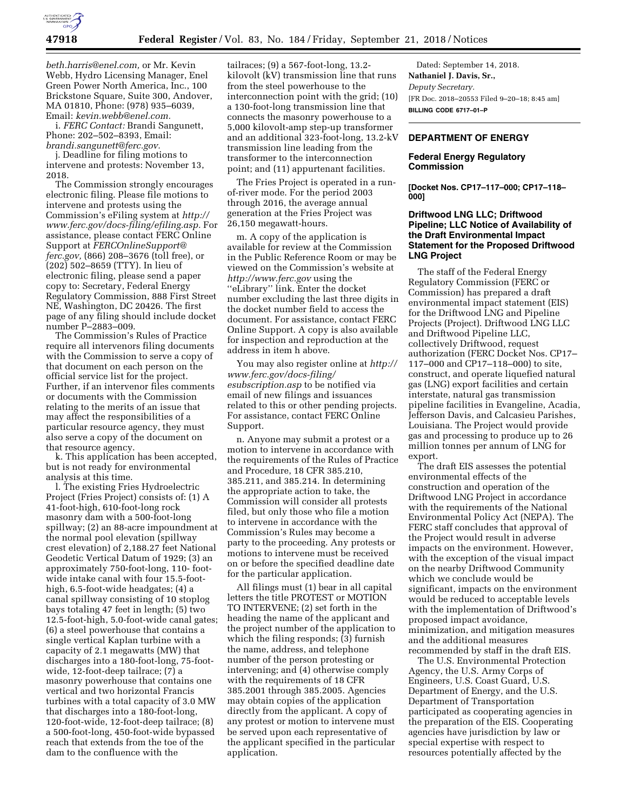

*[beth.harris@enel.com,](mailto:beth.harris@enel.com)* or Mr. Kevin Webb, Hydro Licensing Manager, Enel Green Power North America, Inc., 100 Brickstone Square, Suite 300, Andover, MA 01810, Phone: (978) 935–6039, Email: *[kevin.webb@enel.com.](mailto:kevin.webb@enel.com)* 

i. *FERC Contact:* Brandi Sangunett, Phone: 202–502–8393, Email: *[brandi.sangunett@ferc.gov.](mailto:brandi.sangunett@ferc.gov)* 

j. Deadline for filing motions to intervene and protests: November 13, 2018.

The Commission strongly encourages electronic filing. Please file motions to intervene and protests using the Commission's eFiling system at *[http://](http://www.ferc.gov/docs-filing/efiling.asp) [www.ferc.gov/docs-filing/efiling.asp.](http://www.ferc.gov/docs-filing/efiling.asp)* For assistance, please contact FERC Online Support at *[FERCOnlineSupport@](mailto:FERCOnlineSupport@ferc.gov) [ferc.gov,](mailto:FERCOnlineSupport@ferc.gov)* (866) 208–3676 (toll free), or (202) 502–8659 (TTY). In lieu of electronic filing, please send a paper copy to: Secretary, Federal Energy Regulatory Commission, 888 First Street NE, Washington, DC 20426. The first page of any filing should include docket number P–2883–009.

The Commission's Rules of Practice require all intervenors filing documents with the Commission to serve a copy of that document on each person on the official service list for the project. Further, if an intervenor files comments or documents with the Commission relating to the merits of an issue that may affect the responsibilities of a particular resource agency, they must also serve a copy of the document on that resource agency.

k. This application has been accepted, but is not ready for environmental analysis at this time.

l. The existing Fries Hydroelectric Project (Fries Project) consists of: (1) A 41-foot-high, 610-foot-long rock masonry dam with a 500-foot-long spillway; (2) an 88-acre impoundment at the normal pool elevation (spillway crest elevation) of 2,188.27 feet National Geodetic Vertical Datum of 1929; (3) an approximately 750-foot-long, 110- footwide intake canal with four 15.5-foothigh, 6.5-foot-wide headgates; (4) a canal spillway consisting of 10 stoplog bays totaling 47 feet in length; (5) two 12.5-foot-high, 5.0-foot-wide canal gates; (6) a steel powerhouse that contains a single vertical Kaplan turbine with a capacity of 2.1 megawatts (MW) that discharges into a 180-foot-long, 75-footwide, 12-foot-deep tailrace; (7) a masonry powerhouse that contains one vertical and two horizontal Francis turbines with a total capacity of 3.0 MW that discharges into a 180-foot-long, 120-foot-wide, 12-foot-deep tailrace; (8) a 500-foot-long, 450-foot-wide bypassed reach that extends from the toe of the dam to the confluence with the

tailraces; (9) a 567-foot-long, 13.2 kilovolt (kV) transmission line that runs from the steel powerhouse to the interconnection point with the grid; (10) a 130-foot-long transmission line that connects the masonry powerhouse to a 5,000 kilovolt-amp step-up transformer and an additional 323-foot-long, 13.2-kV transmission line leading from the transformer to the interconnection point; and (11) appurtenant facilities.

The Fries Project is operated in a runof-river mode. For the period 2003 through 2016, the average annual generation at the Fries Project was 26,150 megawatt-hours.

m. A copy of the application is available for review at the Commission in the Public Reference Room or may be viewed on the Commission's website at *<http://www.ferc.gov>*using the ''eLibrary'' link. Enter the docket number excluding the last three digits in the docket number field to access the document. For assistance, contact FERC Online Support. A copy is also available for inspection and reproduction at the address in item h above.

You may also register online at *[http://](http://www.ferc.gov/docs-filing/esubscription.asp)  [www.ferc.gov/docs-filing/](http://www.ferc.gov/docs-filing/esubscription.asp)  [esubscription.asp](http://www.ferc.gov/docs-filing/esubscription.asp)* to be notified via email of new filings and issuances related to this or other pending projects. For assistance, contact FERC Online Support.

n. Anyone may submit a protest or a motion to intervene in accordance with the requirements of the Rules of Practice and Procedure, 18 CFR 385.210, 385.211, and 385.214. In determining the appropriate action to take, the Commission will consider all protests filed, but only those who file a motion to intervene in accordance with the Commission's Rules may become a party to the proceeding. Any protests or motions to intervene must be received on or before the specified deadline date for the particular application.

All filings must (1) bear in all capital letters the title PROTEST or MOTION TO INTERVENE; (2) set forth in the heading the name of the applicant and the project number of the application to which the filing responds; (3) furnish the name, address, and telephone number of the person protesting or intervening; and (4) otherwise comply with the requirements of 18 CFR 385.2001 through 385.2005. Agencies may obtain copies of the application directly from the applicant. A copy of any protest or motion to intervene must be served upon each representative of the applicant specified in the particular application.

Dated: September 14, 2018. **Nathaniel J. Davis, Sr.,**  *Deputy Secretary.*  [FR Doc. 2018–20553 Filed 9–20–18; 8:45 am] **BILLING CODE 6717–01–P** 

## **DEPARTMENT OF ENERGY**

## **Federal Energy Regulatory Commission**

**[Docket Nos. CP17–117–000; CP17–118– 000]** 

## **Driftwood LNG LLC; Driftwood Pipeline; LLC Notice of Availability of the Draft Environmental Impact Statement for the Proposed Driftwood LNG Project**

The staff of the Federal Energy Regulatory Commission (FERC or Commission) has prepared a draft environmental impact statement (EIS) for the Driftwood LNG and Pipeline Projects (Project). Driftwood LNG LLC and Driftwood Pipeline LLC, collectively Driftwood, request authorization (FERC Docket Nos. CP17– 117–000 and CP17–118–000) to site, construct, and operate liquefied natural gas (LNG) export facilities and certain interstate, natural gas transmission pipeline facilities in Evangeline, Acadia, Jefferson Davis, and Calcasieu Parishes, Louisiana. The Project would provide gas and processing to produce up to 26 million tonnes per annum of LNG for export.

The draft EIS assesses the potential environmental effects of the construction and operation of the Driftwood LNG Project in accordance with the requirements of the National Environmental Policy Act (NEPA). The FERC staff concludes that approval of the Project would result in adverse impacts on the environment. However, with the exception of the visual impact on the nearby Driftwood Community which we conclude would be significant, impacts on the environment would be reduced to acceptable levels with the implementation of Driftwood's proposed impact avoidance, minimization, and mitigation measures and the additional measures recommended by staff in the draft EIS.

The U.S. Environmental Protection Agency, the U.S. Army Corps of Engineers, U.S. Coast Guard, U.S. Department of Energy, and the U.S. Department of Transportation participated as cooperating agencies in the preparation of the EIS. Cooperating agencies have jurisdiction by law or special expertise with respect to resources potentially affected by the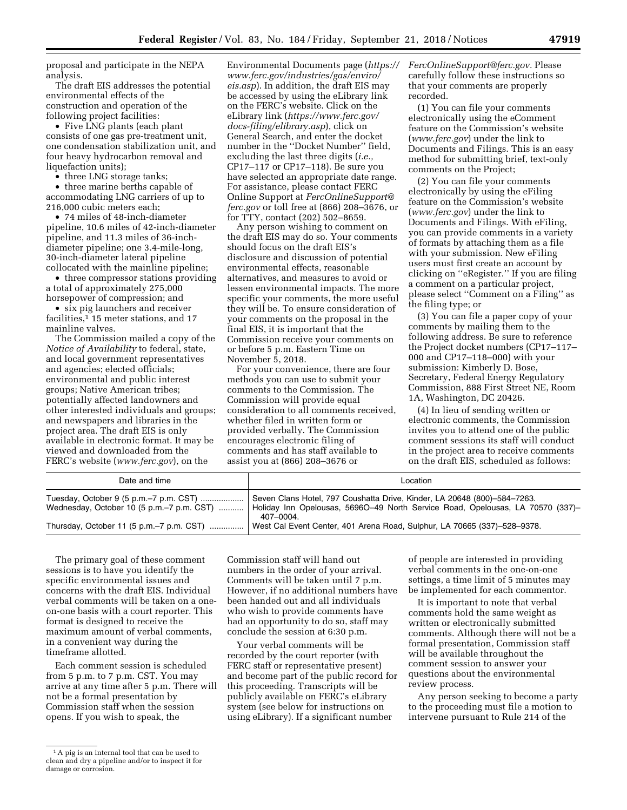proposal and participate in the NEPA analysis.

The draft EIS addresses the potential environmental effects of the construction and operation of the following project facilities:

• Five LNG plants (each plant consists of one gas pre-treatment unit, one condensation stabilization unit, and four heavy hydrocarbon removal and liquefaction units);

• three LNG storage tanks;

• three marine berths capable of accommodating LNG carriers of up to 216,000 cubic meters each;

• 74 miles of 48-inch-diameter pipeline, 10.6 miles of 42-inch-diameter pipeline, and 11.3 miles of 36-inchdiameter pipeline; one 3.4-mile-long, 30-inch-diameter lateral pipeline collocated with the mainline pipeline;

• three compressor stations providing a total of approximately 275,000 horsepower of compression; and

• six pig launchers and receiver facilities,<sup>1</sup> 15 meter stations, and 17 mainline valves.

The Commission mailed a copy of the *Notice of Availability* to federal, state, and local government representatives and agencies; elected officials; environmental and public interest groups; Native American tribes; potentially affected landowners and other interested individuals and groups; and newspapers and libraries in the project area. The draft EIS is only available in electronic format. It may be viewed and downloaded from the FERC's website (*[www.ferc.gov](http://www.ferc.gov)*), on the

Environmental Documents page (*[https://](https://www.ferc.gov/industries/gas/enviro/eis.asp)  [www.ferc.gov/industries/gas/enviro/](https://www.ferc.gov/industries/gas/enviro/eis.asp)  [eis.asp](https://www.ferc.gov/industries/gas/enviro/eis.asp)*). In addition, the draft EIS may be accessed by using the eLibrary link on the FERC's website. Click on the eLibrary link (*[https://www.ferc.gov/](https://www.ferc.gov/docs-filing/elibrary.asp) [docs-filing/elibrary.asp](https://www.ferc.gov/docs-filing/elibrary.asp)*), click on General Search, and enter the docket number in the ''Docket Number'' field, excluding the last three digits (*i.e.,*  CP17–117 or CP17–118). Be sure you have selected an appropriate date range. For assistance, please contact FERC Online Support at *[FercOnlineSupport@](mailto:FercOnlineSupport@ferc.gov) [ferc.gov](mailto:FercOnlineSupport@ferc.gov)* or toll free at (866) 208–3676, or for TTY, contact (202) 502–8659.

Any person wishing to comment on the draft EIS may do so. Your comments should focus on the draft EIS's disclosure and discussion of potential environmental effects, reasonable alternatives, and measures to avoid or lessen environmental impacts. The more specific your comments, the more useful they will be. To ensure consideration of your comments on the proposal in the final EIS, it is important that the Commission receive your comments on or before 5 p.m. Eastern Time on November 5, 2018.

For your convenience, there are four methods you can use to submit your comments to the Commission. The Commission will provide equal consideration to all comments received, whether filed in written form or provided verbally. The Commission encourages electronic filing of comments and has staff available to assist you at (866) 208–3676 or

*[FercOnlineSupport@ferc.gov.](mailto:FercOnlineSupport@ferc.gov)* Please carefully follow these instructions so that your comments are properly recorded.

(1) You can file your comments electronically using the eComment feature on the Commission's website (*[www.ferc.gov](http://www.ferc.gov)*) under the link to Documents and Filings. This is an easy method for submitting brief, text-only comments on the Project;

(2) You can file your comments electronically by using the eFiling feature on the Commission's website (*[www.ferc.gov](http://www.ferc.gov)*) under the link to Documents and Filings. With eFiling, you can provide comments in a variety of formats by attaching them as a file with your submission. New eFiling users must first create an account by clicking on ''eRegister.'' If you are filing a comment on a particular project, please select ''Comment on a Filing'' as the filing type; or

(3) You can file a paper copy of your comments by mailing them to the following address. Be sure to reference the Project docket numbers (CP17–117– 000 and CP17–118–000) with your submission: Kimberly D. Bose, Secretary, Federal Energy Regulatory Commission, 888 First Street NE, Room 1A, Washington, DC 20426.

(4) In lieu of sending written or electronic comments, the Commission invites you to attend one of the public comment sessions its staff will conduct in the project area to receive comments on the draft EIS, scheduled as follows:

| Date and time                                                                                                   | Location                                                                                                                                                               |
|-----------------------------------------------------------------------------------------------------------------|------------------------------------------------------------------------------------------------------------------------------------------------------------------------|
| Tuesday, October 9 (5 p.m.–7 p.m. CST)<br>Wednesday, October 10 $(5 \text{ p.m.} - 7 \text{ p.m.} \text{ CST})$ | Seven Clans Hotel, 797 Coushatta Drive, Kinder, LA 20648 (800)-584-7263.<br>Holiday Inn Opelousas, 56960-49 North Service Road, Opelousas, LA 70570 (337)-<br>407-0004 |
| Thursday, October 11 (5 p.m.–7 p.m. CST)                                                                        | West Cal Event Center, 401 Arena Road, Sulphur, LA 70665 (337)-528-9378.                                                                                               |

The primary goal of these comment sessions is to have you identify the specific environmental issues and concerns with the draft EIS. Individual verbal comments will be taken on a oneon-one basis with a court reporter. This format is designed to receive the maximum amount of verbal comments, in a convenient way during the timeframe allotted.

Each comment session is scheduled from 5 p.m. to 7 p.m. CST. You may arrive at any time after 5 p.m. There will not be a formal presentation by Commission staff when the session opens. If you wish to speak, the

Commission staff will hand out numbers in the order of your arrival. Comments will be taken until 7 p.m. However, if no additional numbers have been handed out and all individuals who wish to provide comments have had an opportunity to do so, staff may conclude the session at 6:30 p.m.

Your verbal comments will be recorded by the court reporter (with FERC staff or representative present) and become part of the public record for this proceeding. Transcripts will be publicly available on FERC's eLibrary system (see below for instructions on using eLibrary). If a significant number

of people are interested in providing verbal comments in the one-on-one settings, a time limit of 5 minutes may be implemented for each commentor.

It is important to note that verbal comments hold the same weight as written or electronically submitted comments. Although there will not be a formal presentation, Commission staff will be available throughout the comment session to answer your questions about the environmental review process.

Any person seeking to become a party to the proceeding must file a motion to intervene pursuant to Rule 214 of the

<sup>1</sup>A pig is an internal tool that can be used to clean and dry a pipeline and/or to inspect it for damage or corrosion.